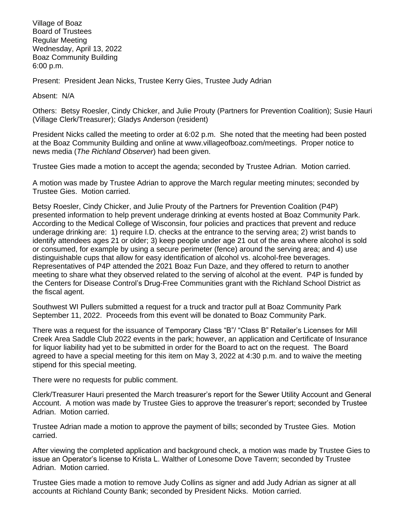Village of Boaz Board of Trustees Regular Meeting Wednesday, April 13, 2022 Boaz Community Building 6:00 p.m.

Present: President Jean Nicks, Trustee Kerry Gies, Trustee Judy Adrian

Absent: N/A

Others: Betsy Roesler, Cindy Chicker, and Julie Prouty (Partners for Prevention Coalition); Susie Hauri (Village Clerk/Treasurer); Gladys Anderson (resident)

President Nicks called the meeting to order at 6:02 p.m. She noted that the meeting had been posted at the Boaz Community Building and online at [www.villageofboaz.com/meetings.](http://www.villageofboaz.com/meetings) Proper notice to news media (*The Richland Observer*) had been given.

Trustee Gies made a motion to accept the agenda; seconded by Trustee Adrian. Motion carried.

A motion was made by Trustee Adrian to approve the March regular meeting minutes; seconded by Trustee Gies. Motion carried.

Betsy Roesler, Cindy Chicker, and Julie Prouty of the Partners for Prevention Coalition (P4P) presented information to help prevent underage drinking at events hosted at Boaz Community Park. According to the Medical College of Wisconsin, four policies and practices that prevent and reduce underage drinking are: 1) require I.D. checks at the entrance to the serving area; 2) wrist bands to identify attendees ages 21 or older; 3) keep people under age 21 out of the area where alcohol is sold or consumed, for example by using a secure perimeter (fence) around the serving area; and 4) use distinguishable cups that allow for easy identification of alcohol vs. alcohol-free beverages. Representatives of P4P attended the 2021 Boaz Fun Daze, and they offered to return to another meeting to share what they observed related to the serving of alcohol at the event. P4P is funded by the Centers for Disease Control's Drug-Free Communities grant with the Richland School District as the fiscal agent.

Southwest WI Pullers submitted a request for a truck and tractor pull at Boaz Community Park September 11, 2022. Proceeds from this event will be donated to Boaz Community Park.

There was a request for the issuance of Temporary Class "B"/ "Class B" Retailer's Licenses for Mill Creek Area Saddle Club 2022 events in the park; however, an application and Certificate of Insurance for liquor liability had yet to be submitted in order for the Board to act on the request. The Board agreed to have a special meeting for this item on May 3, 2022 at 4:30 p.m. and to waive the meeting stipend for this special meeting.

There were no requests for public comment.

Clerk/Treasurer Hauri presented the March treasurer's report for the Sewer Utility Account and General Account. A motion was made by Trustee Gies to approve the treasurer's report; seconded by Trustee Adrian. Motion carried.

Trustee Adrian made a motion to approve the payment of bills; seconded by Trustee Gies. Motion carried.

After viewing the completed application and background check, a motion was made by Trustee Gies to issue an Operator's license to Krista L. Walther of Lonesome Dove Tavern; seconded by Trustee Adrian. Motion carried.

Trustee Gies made a motion to remove Judy Collins as signer and add Judy Adrian as signer at all accounts at Richland County Bank; seconded by President Nicks. Motion carried.